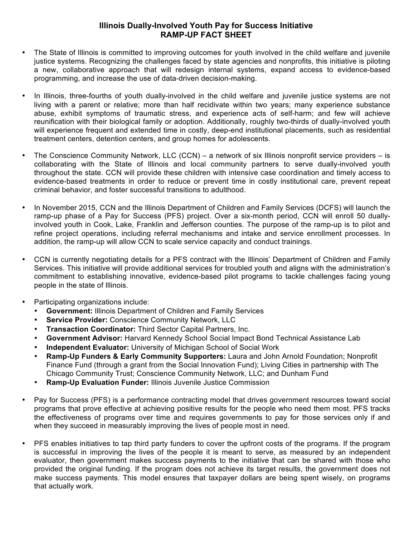## **Illinois Dually-Involved Youth Pay for Success Initiative RAMP-UP FACT SHEET**

- The State of Illinois is committed to improving outcomes for youth involved in the child welfare and juvenile justice systems. Recognizing the challenges faced by state agencies and nonprofits, this initiative is piloting a new, collaborative approach that will redesign internal systems, expand access to evidence-based programming, and increase the use of data-driven decision-making.
- In Illinois, three-fourths of youth dually-involved in the child welfare and juvenile justice systems are not living with a parent or relative; more than half recidivate within two years; many experience substance abuse, exhibit symptoms of traumatic stress, and experience acts of self-harm; and few will achieve reunification with their biological family or adoption. Additionally, roughly two-thirds of dually-involved youth will experience frequent and extended time in costly, deep-end institutional placements, such as residential treatment centers, detention centers, and group homes for adolescents.
- The Conscience Community Network, LLC (CCN) a network of six Illinois nonprofit service providers is collaborating with the State of Illinois and local community partners to serve dually-involved youth throughout the state. CCN will provide these children with intensive case coordination and timely access to evidence-based treatments in order to reduce or prevent time in costly institutional care, prevent repeat criminal behavior, and foster successful transitions to adulthood.
- In November 2015, CCN and the Illinois Department of Children and Family Services (DCFS) will launch the ramp-up phase of a Pay for Success (PFS) project. Over a six-month period, CCN will enroll 50 duallyinvolved youth in Cook, Lake, Franklin and Jefferson counties. The purpose of the ramp-up is to pilot and refine project operations, including referral mechanisms and intake and service enrollment processes. In addition, the ramp-up will allow CCN to scale service capacity and conduct trainings.
- CCN is currently negotiating details for a PFS contract with the Illinois' Department of Children and Family Services. This initiative will provide additional services for troubled youth and aligns with the administration's commitment to establishing innovative, evidence-based pilot programs to tackle challenges facing young people in the state of Illinois.
- Participating organizations include:
	- **Government:** Illinois Department of Children and Family Services
	- **Service Provider:** Conscience Community Network, LLC
	- **Transaction Coordinator:** Third Sector Capital Partners, Inc.
	- **Government Advisor:** Harvard Kennedy School Social Impact Bond Technical Assistance Lab
	- **Independent Evaluator:** University of Michigan School of Social Work
	- **Ramp-Up Funders & Early Community Supporters:** Laura and John Arnold Foundation; Nonprofit Finance Fund (through a grant from the Social Innovation Fund); Living Cities in partnership with The Chicago Community Trust; Conscience Community Network, LLC; and Dunham Fund
	- **Ramp-Up Evaluation Funder:** Illinois Juvenile Justice Commission
- Pay for Success (PFS) is a performance contracting model that drives government resources toward social programs that prove effective at achieving positive results for the people who need them most. PFS tracks the effectiveness of programs over time and requires governments to pay for those services only if and when they succeed in measurably improving the lives of people most in need.
- PFS enables initiatives to tap third party funders to cover the upfront costs of the programs. If the program is successful in improving the lives of the people it is meant to serve, as measured by an independent evaluator, then government makes success payments to the initiative that can be shared with those who provided the original funding. If the program does not achieve its target results, the government does not make success payments. This model ensures that taxpayer dollars are being spent wisely, on programs that actually work.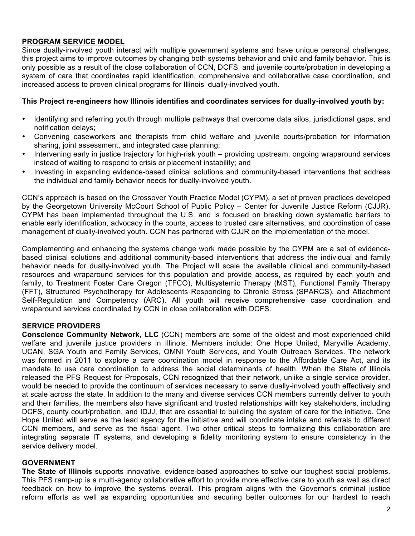## **PROGRAM SERVICE MODEL**

Since dually-involved youth interact with multiple government systems and have unique personal challenges, this project aims to improve outcomes by changing both systems behavior and child and family behavior. This is only possible as a result of the close collaboration of CCN, DCFS, and juvenile courts/probation in developing a system of care that coordinates rapid identification, comprehensive and collaborative case coordination, and increased access to proven clinical programs for Illinois' dually-involved youth.

#### **This Project re-engineers how Illinois identifies and coordinates services for dually-involved youth by:**

- Identifying and referring youth through multiple pathways that overcome data silos, jurisdictional gaps, and notification delays;
- Convening caseworkers and therapists from child welfare and juvenile courts/probation for information sharing, joint assessment, and integrated case planning;
- Intervening early in justice trajectory for high-risk youth providing upstream, ongoing wraparound services instead of waiting to respond to crisis or placement instability; and
- Investing in expanding evidence-based clinical solutions and community-based interventions that address the individual and family behavior needs for dually-involved youth.

CCN's approach is based on the Crossover Youth Practice Model (CYPM), a set of proven practices developed by the Georgetown University McCourt School of Public Policy – Center for Juvenile Justice Reform (CJJR). CYPM has been implemented throughout the U.S. and is focused on breaking down systematic barriers to enable early identification, advocacy in the courts, access to trusted care alternatives, and coordination of case management of dually-involved youth. CCN has partnered with CJJR on the implementation of the model.

Complementing and enhancing the systems change work made possible by the CYPM are a set of evidencebased clinical solutions and additional community-based interventions that address the individual and family behavior needs for dually-involved youth. The Project will scale the available clinical and community-based resources and wraparound services for this population and provide access, as required by each youth and family, to Treatment Foster Care Oregon (TFCO), Multisystemic Therapy (MST), Functional Family Therapy (FFT), Structured Psychotherapy for Adolescents Responding to Chronic Stress (SPARCS), and Attachment Self-Regulation and Competency (ARC). All youth will receive comprehensive case coordination and wraparound services coordinated by CCN in close collaboration with DCFS.

# **SERVICE PROVIDERS**

**Conscience Community Network, LLC** (CCN) members are some of the oldest and most experienced child welfare and juvenile justice providers in Illinois. Members include: One Hope United, Maryville Academy, UCAN, SGA Youth and Family Services, OMNI Youth Services, and Youth Outreach Services. The network was formed in 2011 to explore a care coordination model in response to the Affordable Care Act, and its mandate to use care coordination to address the social determinants of health. When the State of Illinois released the PFS Request for Proposals, CCN recognized that their network, unlike a single service provider, would be needed to provide the continuum of services necessary to serve dually-involved youth effectively and at scale across the state. In addition to the many and diverse services CCN members currently deliver to youth and their families, the members also have significant and trusted relationships with key stakeholders, including DCFS, county court/probation, and IDJJ, that are essential to building the system of care for the initiative. One Hope United will serve as the lead agency for the initiative and will coordinate intake and referrals to different CCN members, and serve as the fiscal agent. Two other critical steps to formalizing this collaboration are integrating separate IT systems, and developing a fidelity monitoring system to ensure consistency in the service delivery model.

## **GOVERNMENT**

**The State of Illinois** supports innovative, evidence-based approaches to solve our toughest social problems. This PFS ramp-up is a multi-agency collaborative effort to provide more effective care to youth as well as direct feedback on how to improve the systems overall. This program aligns with the Governor's criminal justice reform efforts as well as expanding opportunities and securing better outcomes for our hardest to reach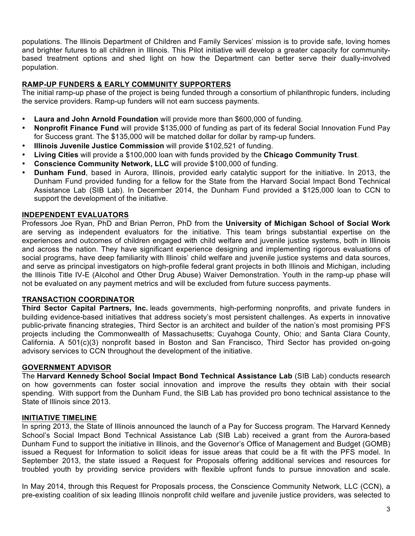populations. The Illinois Department of Children and Family Services' mission is to provide safe, loving homes and brighter futures to all children in Illinois. This Pilot initiative will develop a greater capacity for communitybased treatment options and shed light on how the Department can better serve their dually-involved population.

## **RAMP-UP FUNDERS & EARLY COMMUNITY SUPPORTERS**

The initial ramp-up phase of the project is being funded through a consortium of philanthropic funders, including the service providers. Ramp-up funders will not earn success payments.

- **Laura and John Arnold Foundation** will provide more than \$600,000 of funding.
- **Nonprofit Finance Fund** will provide \$135,000 of funding as part of its federal Social Innovation Fund Pay for Success grant. The \$135,000 will be matched dollar for dollar by ramp-up funders.
- **Illinois Juvenile Justice Commission** will provide \$102,521 of funding.
- **Living Cities** will provide a \$100,000 loan with funds provided by the **Chicago Community Trust**.
- **Conscience Community Network, LLC** will provide \$100,000 of funding.
- **Dunham Fund**, based in Aurora, Illinois, provided early catalytic support for the initiative. In 2013, the Dunham Fund provided funding for a fellow for the State from the Harvard Social Impact Bond Technical Assistance Lab (SIB Lab). In December 2014, the Dunham Fund provided a \$125,000 loan to CCN to support the development of the initiative.

## **INDEPENDENT EVALUATORS**

Professors Joe Ryan, PhD and Brian Perron, PhD from the **University of Michigan School of Social Work** are serving as independent evaluators for the initiative. This team brings substantial expertise on the experiences and outcomes of children engaged with child welfare and juvenile justice systems, both in Illinois and across the nation. They have significant experience designing and implementing rigorous evaluations of social programs, have deep familiarity with Illinois' child welfare and juvenile justice systems and data sources, and serve as principal investigators on high-profile federal grant projects in both Illinois and Michigan, including the Illinois Title IV-E (Alcohol and Other Drug Abuse) Waiver Demonstration. Youth in the ramp-up phase will not be evaluated on any payment metrics and will be excluded from future success payments.

## **TRANSACTION COORDINATOR**

**Third Sector Capital Partners, Inc.** leads governments, high-performing nonprofits, and private funders in building evidence-based initiatives that address society's most persistent challenges. As experts in innovative public-private financing strategies, Third Sector is an architect and builder of the nation's most promising PFS projects including the Commonwealth of Massachusetts; Cuyahoga County, Ohio; and Santa Clara County, California. A 501(c)(3) nonprofit based in Boston and San Francisco, Third Sector has provided on-going advisory services to CCN throughout the development of the initiative.

#### **GOVERNMENT ADVISOR**

The **Harvard Kennedy School Social Impact Bond Technical Assistance Lab** (SIB Lab) conducts research on how governments can foster social innovation and improve the results they obtain with their social spending. With support from the Dunham Fund, the SIB Lab has provided pro bono technical assistance to the State of Illinois since 2013.

## **INITIATIVE TIMELINE**

In spring 2013, the State of Illinois announced the launch of a Pay for Success program. The Harvard Kennedy School's Social Impact Bond Technical Assistance Lab (SIB Lab) received a grant from the Aurora-based Dunham Fund to support the initiative in Illinois, and the Governor's Office of Management and Budget (GOMB) issued a Request for Information to solicit ideas for issue areas that could be a fit with the PFS model. In September 2013, the state issued a Request for Proposals offering additional services and resources for troubled youth by providing service providers with flexible upfront funds to pursue innovation and scale.

In May 2014, through this Request for Proposals process, the Conscience Community Network, LLC (CCN), a pre-existing coalition of six leading Illinois nonprofit child welfare and juvenile justice providers, was selected to